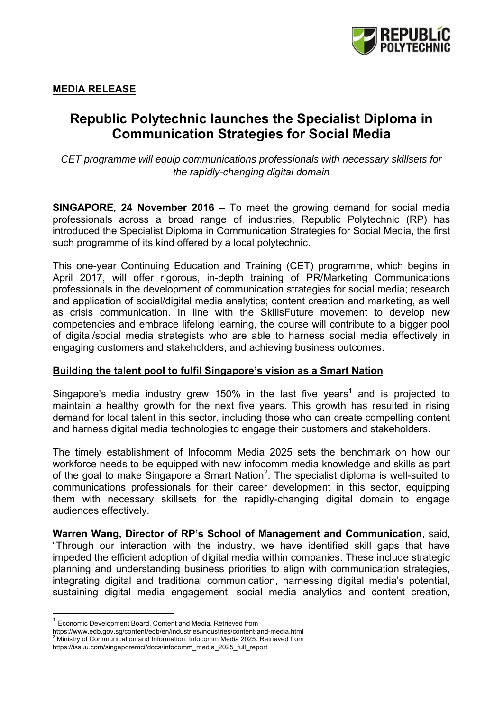

# **Republic Polytechnic launches the Specialist Diploma in Communication Strategies for Social Media**

*CET programme will equip communications professionals with necessary skillsets for the rapidly-changing digital domain* 

**SINGAPORE, 24 November 2016 –** To meet the growing demand for social media professionals across a broad range of industries, Republic Polytechnic (RP) has introduced the Specialist Diploma in Communication Strategies for Social Media, the first such programme of its kind offered by a local polytechnic.

This one-year Continuing Education and Training (CET) programme, which begins in April 2017, will offer rigorous, in-depth training of PR/Marketing Communications professionals in the development of communication strategies for social media; research and application of social/digital media analytics; content creation and marketing, as well as crisis communication. In line with the SkillsFuture movement to develop new competencies and embrace lifelong learning, the course will contribute to a bigger pool of digital/social media strategists who are able to harness social media effectively in engaging customers and stakeholders, and achieving business outcomes.

### **Building the talent pool to fulfil Singapore's vision as a Smart Nation**

Singapore's media industry grew 150% in the last five years<sup>1</sup> and is projected to maintain a healthy growth for the next five years. This growth has resulted in rising demand for local talent in this sector, including those who can create compelling content and harness digital media technologies to engage their customers and stakeholders.

The timely establishment of Infocomm Media 2025 sets the benchmark on how our workforce needs to be equipped with new infocomm media knowledge and skills as part of the goal to make Singapore a Smart Nation<sup>2</sup>. The specialist diploma is well-suited to communications professionals for their career development in this sector, equipping them with necessary skillsets for the rapidly-changing digital domain to engage audiences effectively.

**Warren Wang, Director of RP's School of Management and Communication**, said, "Through our interaction with the industry, we have identified skill gaps that have impeded the efficient adoption of digital media within companies. These include strategic planning and understanding business priorities to align with communication strategies, integrating digital and traditional communication, harnessing digital media's potential, sustaining digital media engagement, social media analytics and content creation,

 $1$  Economic Development Board. Content and Media. Retrieved from

https://www.edb.gov.sg/content/edb/en/industries/industries/content-and-media.html 2

 $^2$  Ministry of Communication and Information. Infocomm Media 2025. Retrieved from

https://issuu.com/singaporemci/docs/infocomm\_media\_2025\_full\_report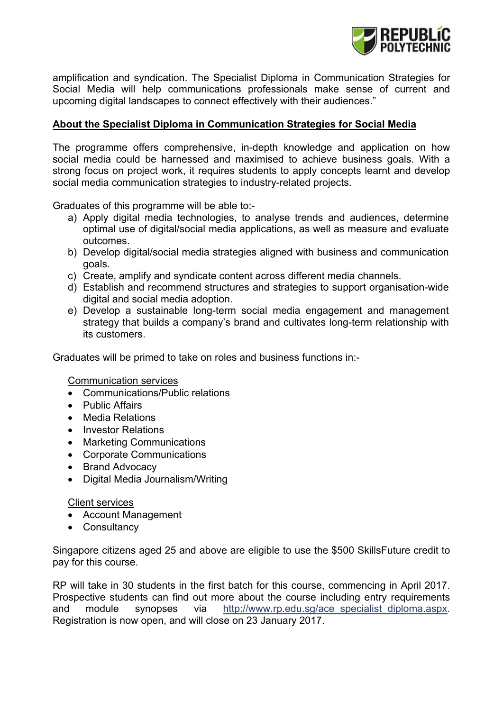

amplification and syndication. The Specialist Diploma in Communication Strategies for Social Media will help communications professionals make sense of current and upcoming digital landscapes to connect effectively with their audiences."

## **About the Specialist Diploma in Communication Strategies for Social Media**

The programme offers comprehensive, in-depth knowledge and application on how social media could be harnessed and maximised to achieve business goals. With a strong focus on project work, it requires students to apply concepts learnt and develop social media communication strategies to industry-related projects.

Graduates of this programme will be able to:-

- a) Apply digital media technologies, to analyse trends and audiences, determine optimal use of digital/social media applications, as well as measure and evaluate outcomes.
- b) Develop digital/social media strategies aligned with business and communication goals.
- c) Create, amplify and syndicate content across different media channels.
- d) Establish and recommend structures and strategies to support organisation-wide digital and social media adoption.
- e) Develop a sustainable long-term social media engagement and management strategy that builds a company's brand and cultivates long-term relationship with its customers.

Graduates will be primed to take on roles and business functions in:-

Communication services

- Communications/Public relations
- Public Affairs
- Media Relations
- Investor Relations
- Marketing Communications
- Corporate Communications
- Brand Advocacy
- Digital Media Journalism/Writing

### Client services

- Account Management
- Consultancy

Singapore citizens aged 25 and above are eligible to use the \$500 SkillsFuture credit to pay for this course.

RP will take in 30 students in the first batch for this course, commencing in April 2017. Prospective students can find out more about the course including entry requirements and module synopses via http://www.rp.edu.sg/ace\_specialist\_diploma.aspx. Registration is now open, and will close on 23 January 2017.